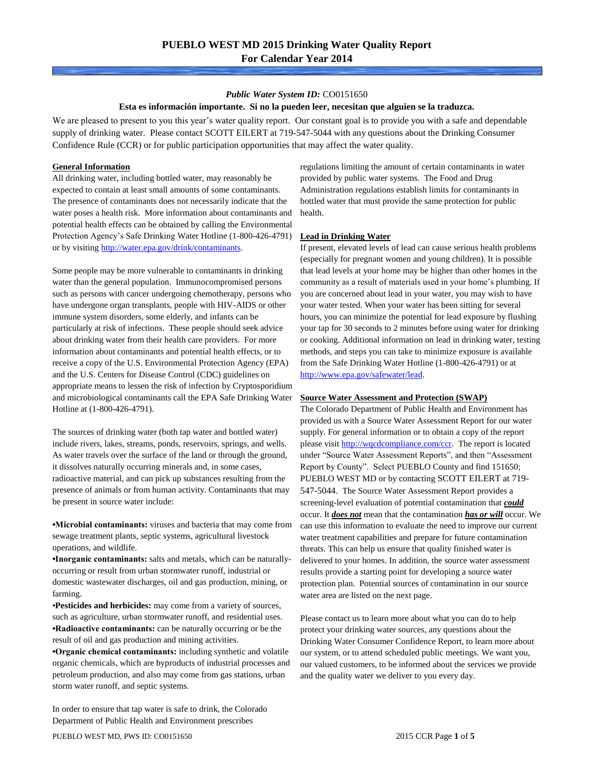#### *Public Water System ID:* CO0151650

#### **Esta es información importante. Si no la pueden leer, necesitan que alguien se la traduzca.**

We are pleased to present to you this year's water quality report. Our constant goal is to provide you with a safe and dependable supply of drinking water. Please contact SCOTT EILERT at 719-547-5044 with any questions about the Drinking Consumer Confidence Rule (CCR) or for public participation opportunities that may affect the water quality.

#### **General Information**

All drinking water, including bottled water, may reasonably be expected to contain at least small amounts of some contaminants. The presence of contaminants does not necessarily indicate that the water poses a health risk. More information about contaminants and potential health effects can be obtained by calling the Environmental Protection Agency's Safe Drinking Water Hotline (1-800-426-4791) or by visiting [http://water.epa.gov/drink/contaminants.](http://water.epa.gov/drink/contaminants)

Some people may be more vulnerable to contaminants in drinking water than the general population. Immunocompromised persons such as persons with cancer undergoing chemotherapy, persons who have undergone organ transplants, people with HIV-AIDS or other immune system disorders, some elderly, and infants can be particularly at risk of infections. These people should seek advice about drinking water from their health care providers. For more information about contaminants and potential health effects, or to receive a copy of the U.S. Environmental Protection Agency (EPA) and the U.S. Centers for Disease Control (CDC) guidelines on appropriate means to lessen the risk of infection by Cryptosporidium and microbiological contaminants call the EPA Safe Drinking Water Hotline at (1-800-426-4791).

The sources of drinking water (both tap water and bottled water) include rivers, lakes, streams, ponds, reservoirs, springs, and wells. As water travels over the surface of the land or through the ground, it dissolves naturally occurring minerals and, in some cases, radioactive material, and can pick up substances resulting from the presence of animals or from human activity. Contaminants that may be present in source water include:

**•Microbial contaminants:** viruses and bacteria that may come from sewage treatment plants, septic systems, agricultural livestock operations, and wildlife.

**•Inorganic contaminants:** salts and metals, which can be naturallyoccurring or result from urban stormwater runoff, industrial or domestic wastewater discharges, oil and gas production, mining, or farming.

•**Pesticides and herbicides:** may come from a variety of sources, such as agriculture, urban stormwater runoff, and residential uses. **•Radioactive contaminants:** can be naturally occurring or be the result of oil and gas production and mining activities.

**•Organic chemical contaminants:** including synthetic and volatile organic chemicals, which are byproducts of industrial processes and petroleum production, and also may come from gas stations, urban storm water runoff, and septic systems.

In order to ensure that tap water is safe to drink, the Colorado Department of Public Health and Environment prescribes

regulations limiting the amount of certain contaminants in water provided by public water systems. The Food and Drug Administration regulations establish limits for contaminants in bottled water that must provide the same protection for public health.

#### **Lead in Drinking Water**

If present, elevated levels of lead can cause serious health problems (especially for pregnant women and young children). It is possible that lead levels at your home may be higher than other homes in the community as a result of materials used in your home's plumbing. If you are concerned about lead in your water, you may wish to have your water tested. When your water has been sitting for several hours, you can minimize the potential for lead exposure by flushing your tap for 30 seconds to 2 minutes before using water for drinking or cooking. Additional information on lead in drinking water, testing methods, and steps you can take to minimize exposure is available from the Safe Drinking Water Hotline (1-800-426-4791) or at [http://www.epa.gov/safewater/lead.](http://www.epa.gov/safewater/lead) 

#### **Source Water Assessment and Protection (SWAP)**

The Colorado Department of Public Health and Environment has provided us with a Source Water Assessment Report for our water supply. For general information or to obtain a copy of the report please visit [http://wqcdcompliance.com/ccr.](http://wqcdcompliance.com/ccr) The report is located under "Source Water Assessment Reports", and then "Assessment Report by County". Select PUEBLO County and find 151650; PUEBLO WEST MD or by contacting SCOTT EILERT at 719- 547-5044. The Source Water Assessment Report provides a screening-level evaluation of potential contamination that *could* occur. It *does not* mean that the contamination *has or will* occur. We can use this information to evaluate the need to improve our current water treatment capabilities and prepare for future contamination threats. This can help us ensure that quality finished water is delivered to your homes. In addition, the source water assessment results provide a starting point for developing a source water protection plan. Potential sources of contamination in our source water area are listed on the next page.

Please contact us to learn more about what you can do to help protect your drinking water sources, any questions about the Drinking Water Consumer Confidence Report, to learn more about our system, or to attend scheduled public meetings. We want you, our valued customers, to be informed about the services we provide and the quality water we deliver to you every day.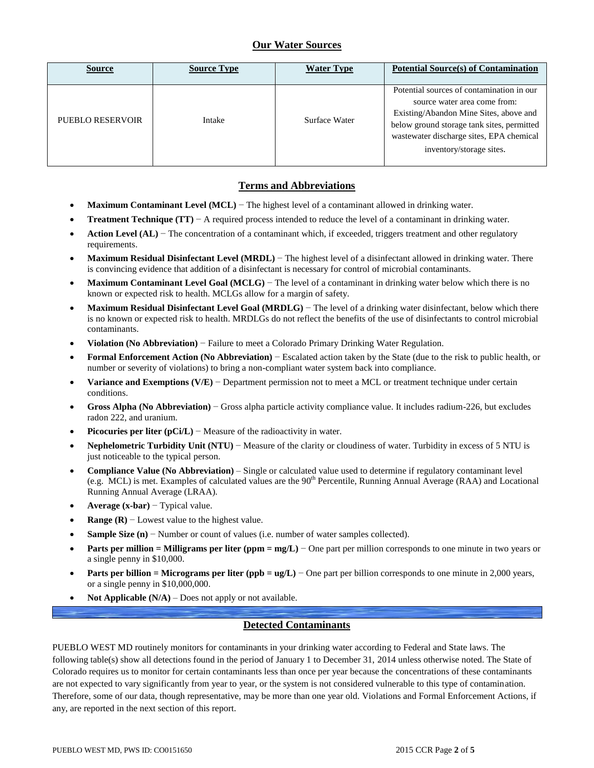## **Our Water Sources**

| <b>Source</b>    | <b>Source Type</b> | <b>Water Type</b> | <b>Potential Source(s) of Contamination</b>                                                                                                                                                                                               |
|------------------|--------------------|-------------------|-------------------------------------------------------------------------------------------------------------------------------------------------------------------------------------------------------------------------------------------|
| PUEBLO RESERVOIR | Intake             | Surface Water     | Potential sources of contamination in our<br>source water area come from:<br>Existing/Abandon Mine Sites, above and<br>below ground storage tank sites, permitted<br>wastewater discharge sites, EPA chemical<br>inventory/storage sites. |

## **Terms and Abbreviations**

- **Maximum Contaminant Level (MCL)** − The highest level of a contaminant allowed in drinking water.
- **Treatment Technique (TT)**  $A$  required process intended to reduce the level of a contaminant in drinking water.
- **Action Level (AL)** − The concentration of a contaminant which, if exceeded, triggers treatment and other regulatory requirements.
- **Maximum Residual Disinfectant Level (MRDL)** − The highest level of a disinfectant allowed in drinking water. There is convincing evidence that addition of a disinfectant is necessary for control of microbial contaminants.
- **Maximum Contaminant Level Goal (MCLG)** − The level of a contaminant in drinking water below which there is no known or expected risk to health. MCLGs allow for a margin of safety.
- **Maximum Residual Disinfectant Level Goal (MRDLG)** − The level of a drinking water disinfectant, below which there is no known or expected risk to health. MRDLGs do not reflect the benefits of the use of disinfectants to control microbial contaminants.
- **Violation (No Abbreviation)** − Failure to meet a Colorado Primary Drinking Water Regulation.
- **Formal Enforcement Action (No Abbreviation)** − Escalated action taken by the State (due to the risk to public health, or number or severity of violations) to bring a non-compliant water system back into compliance.
- **Variance and Exemptions (V/E)** − Department permission not to meet a MCL or treatment technique under certain conditions.
- **Gross Alpha (No Abbreviation)** − Gross alpha particle activity compliance value. It includes radium-226, but excludes radon 222, and uranium.
- **Picocuries per liter (pCi/L)** − Measure of the radioactivity in water.
- **Nephelometric Turbidity Unit (NTU)** − Measure of the clarity or cloudiness of water. Turbidity in excess of 5 NTU is just noticeable to the typical person.
- **Compliance Value (No Abbreviation)** Single or calculated value used to determine if regulatory contaminant level (e.g. MCL) is met. Examples of calculated values are the 90<sup>th</sup> Percentile, Running Annual Average (RAA) and Locational Running Annual Average (LRAA).
- **Average (x-bar)** − Typical value.
- **Range (R)**  $-$  Lowest value to the highest value.
- **Sample Size (n)** − Number or count of values (i.e. number of water samples collected).
- **Parts per million = Milligrams per liter (ppm = mg/L)** − One part per million corresponds to one minute in two years or a single penny in \$10,000.
- **Parts per billion = Micrograms per liter (ppb = ug/L)** − One part per billion corresponds to one minute in 2,000 years, or a single penny in \$10,000,000.
- **Not Applicable (N/A)** Does not apply or not available.

### **Detected Contaminants**

PUEBLO WEST MD routinely monitors for contaminants in your drinking water according to Federal and State laws. The following table(s) show all detections found in the period of January 1 to December 31, 2014 unless otherwise noted. The State of Colorado requires us to monitor for certain contaminants less than once per year because the concentrations of these contaminants are not expected to vary significantly from year to year, or the system is not considered vulnerable to this type of contamination. Therefore, some of our data, though representative, may be more than one year old. Violations and Formal Enforcement Actions, if any, are reported in the next section of this report.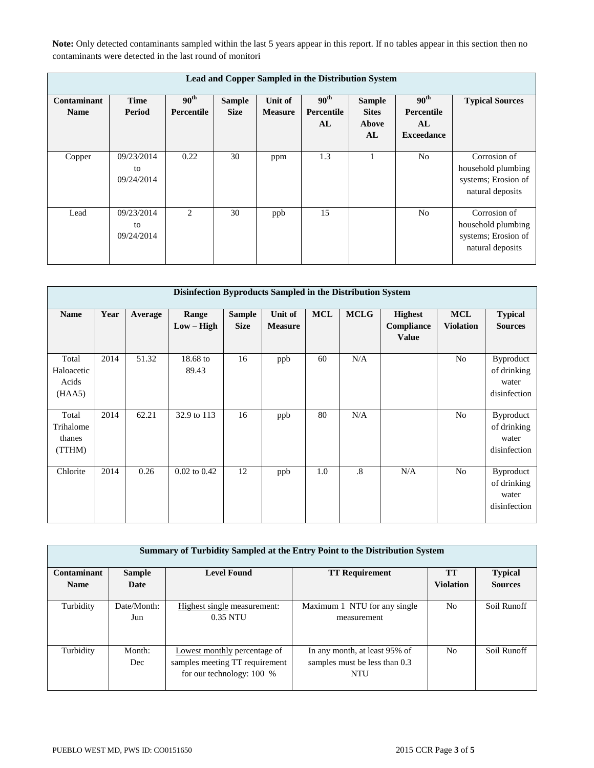**Note:** Only detected contaminants sampled within the last 5 years appear in this report. If no tables appear in this section then no contaminants were detected in the last round of monitori

| Lead and Copper Sampled in the Distribution System |                                |                                |                              |                           |                                      |                                              |                                                           |                                                                               |  |  |
|----------------------------------------------------|--------------------------------|--------------------------------|------------------------------|---------------------------|--------------------------------------|----------------------------------------------|-----------------------------------------------------------|-------------------------------------------------------------------------------|--|--|
| Contaminant<br><b>Name</b>                         | <b>Time</b><br>Period          | 90 <sup>th</sup><br>Percentile | <b>Sample</b><br><b>Size</b> | Unit of<br><b>Measure</b> | 90 <sup>th</sup><br>Percentile<br>AL | <b>Sample</b><br><b>Sites</b><br>Above<br>AL | 90 <sup>th</sup><br>Percentile<br>AL<br><b>Exceedance</b> | <b>Typical Sources</b>                                                        |  |  |
| Copper                                             | 09/23/2014<br>to<br>09/24/2014 | 0.22                           | 30                           | ppm                       | 1.3                                  |                                              | N <sub>o</sub>                                            | Corrosion of<br>household plumbing<br>systems; Erosion of<br>natural deposits |  |  |
| Lead                                               | 09/23/2014<br>to<br>09/24/2014 | $\mathfrak{D}$                 | 30                           | ppb                       | 15                                   |                                              | N <sub>0</sub>                                            | Corrosion of<br>household plumbing<br>systems; Erosion of<br>natural deposits |  |  |

| Disinfection Byproducts Sampled in the Distribution System |      |         |                       |                              |                                  |            |             |                                              |                                |                                                   |  |
|------------------------------------------------------------|------|---------|-----------------------|------------------------------|----------------------------------|------------|-------------|----------------------------------------------|--------------------------------|---------------------------------------------------|--|
| <b>Name</b>                                                | Year | Average | Range<br>$Low - High$ | <b>Sample</b><br><b>Size</b> | <b>Unit of</b><br><b>Measure</b> | <b>MCL</b> | <b>MCLG</b> | <b>Highest</b><br>Compliance<br><b>Value</b> | <b>MCL</b><br><b>Violation</b> | <b>Typical</b><br><b>Sources</b>                  |  |
| Total<br>Haloacetic<br>Acids<br>(HAA5)                     | 2014 | 51.32   | $18.68$ to<br>89.43   | 16                           | ppb                              | 60         | N/A         |                                              | N <sub>o</sub>                 | Byproduct<br>of drinking<br>water<br>disinfection |  |
| Total<br>Trihalome<br>thanes<br>(TTHM)                     | 2014 | 62.21   | 32.9 to 113           | 16                           | ppb                              | 80         | N/A         |                                              | N <sub>o</sub>                 | Byproduct<br>of drinking<br>water<br>disinfection |  |
| Chlorite                                                   | 2014 | 0.26    | $0.02$ to $0.42$      | 12                           | ppb                              | 1.0        | $\cdot$ 8   | N/A                                          | No                             | Byproduct<br>of drinking<br>water<br>disinfection |  |

|             | Summary of Turbidity Sampled at the Entry Point to the Distribution System |                                                                                             |                                                                       |                  |                |  |  |  |  |  |  |
|-------------|----------------------------------------------------------------------------|---------------------------------------------------------------------------------------------|-----------------------------------------------------------------------|------------------|----------------|--|--|--|--|--|--|
| Contaminant | <b>Level Found</b><br><b>Sample</b>                                        |                                                                                             | <b>TT Requirement</b>                                                 | <b>TT</b>        | <b>Typical</b> |  |  |  |  |  |  |
| <b>Name</b> | Date                                                                       |                                                                                             |                                                                       | <b>Violation</b> | <b>Sources</b> |  |  |  |  |  |  |
| Turbidity   | Date/Month:<br>Jun                                                         | Highest single measurement:<br>0.35 NTU                                                     | Maximum 1 NTU for any single<br>measurement                           | N <sub>0</sub>   | Soil Runoff    |  |  |  |  |  |  |
| Turbidity   | Month:<br>Dec                                                              | Lowest monthly percentage of<br>samples meeting TT requirement<br>for our technology: 100 % | In any month, at least 95% of<br>samples must be less than 0.3<br>NTU | N <sub>0</sub>   | Soil Runoff    |  |  |  |  |  |  |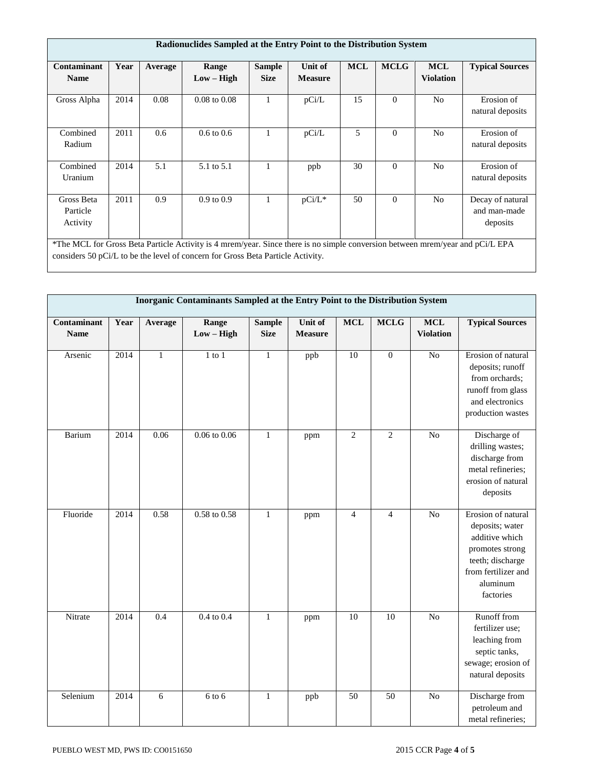| Radionuclides Sampled at the Entry Point to the Distribution System |                                                                                                                                                                                                                  |         |                         |                              |                           |            |             |                                |                                              |  |
|---------------------------------------------------------------------|------------------------------------------------------------------------------------------------------------------------------------------------------------------------------------------------------------------|---------|-------------------------|------------------------------|---------------------------|------------|-------------|--------------------------------|----------------------------------------------|--|
| Contaminant<br><b>Name</b>                                          | Year                                                                                                                                                                                                             | Average | Range<br>$Low - High$   | <b>Sample</b><br><b>Size</b> | Unit of<br><b>Measure</b> | <b>MCL</b> | <b>MCLG</b> | <b>MCL</b><br><b>Violation</b> | <b>Typical Sources</b>                       |  |
| Gross Alpha                                                         | 2014                                                                                                                                                                                                             | 0.08    | $0.08 \text{ to } 0.08$ |                              | pCi/L                     | 15         | $\Omega$    | N <sub>0</sub>                 | Erosion of<br>natural deposits               |  |
| Combined<br>Radium                                                  | 2011                                                                                                                                                                                                             | 0.6     | $0.6 \text{ to } 0.6$   |                              | pCi/L                     | 5          | $\Omega$    | N <sub>0</sub>                 | Erosion of<br>natural deposits               |  |
| Combined<br>Uranium                                                 | 2014                                                                                                                                                                                                             | 5.1     | 5.1 to 5.1              |                              | ppb                       | 30         | $\theta$    | N <sub>o</sub>                 | Erosion of<br>natural deposits               |  |
| Gross Beta<br>Particle<br>Activity                                  | 2011                                                                                                                                                                                                             | 0.9     | $0.9 \text{ to } 0.9$   |                              | pCi/L*                    | 50         | $\Omega$    | N <sub>o</sub>                 | Decay of natural<br>and man-made<br>deposits |  |
|                                                                     | *The MCL for Gross Beta Particle Activity is 4 mrem/year. Since there is no simple conversion between mrem/year and pCi/L EPA<br>considers 50 pCi/L to be the level of concern for Gross Beta Particle Activity. |         |                         |                              |                           |            |             |                                |                                              |  |

|                            | Inorganic Contaminants Sampled at the Entry Point to the Distribution System |              |                         |                              |                           |                 |                 |                                |                                                                                                                                                |
|----------------------------|------------------------------------------------------------------------------|--------------|-------------------------|------------------------------|---------------------------|-----------------|-----------------|--------------------------------|------------------------------------------------------------------------------------------------------------------------------------------------|
| Contaminant<br><b>Name</b> | Year                                                                         | Average      | Range<br>$Low - High$   | <b>Sample</b><br><b>Size</b> | Unit of<br><b>Measure</b> | $\bf MCL$       | <b>MCLG</b>     | <b>MCL</b><br><b>Violation</b> | <b>Typical Sources</b>                                                                                                                         |
| Arsenic                    | 2014                                                                         | $\mathbf{1}$ | $1$ to $1$              | $\mathbf{1}$                 | ppb                       | 10              | $\overline{0}$  | N <sub>o</sub>                 | Erosion of natural<br>deposits; runoff<br>from orchards;<br>runoff from glass<br>and electronics<br>production wastes                          |
| Barium                     | 2014                                                                         | 0.06         | $0.06 \text{ to } 0.06$ | $\mathbf{1}$                 | ppm                       | $\mathbf{2}$    | $\overline{2}$  | $\overline{No}$                | Discharge of<br>drilling wastes;<br>discharge from<br>metal refineries;<br>erosion of natural<br>deposits                                      |
| Fluoride                   | 2014                                                                         | 0.58         | $0.58$ to $0.58$        | $\mathbf{1}$                 | ppm                       | $\overline{4}$  | $\overline{4}$  | N <sub>o</sub>                 | Erosion of natural<br>deposits; water<br>additive which<br>promotes strong<br>teeth; discharge<br>from fertilizer and<br>aluminum<br>factories |
| Nitrate                    | 2014                                                                         | 0.4          | $0.4$ to $0.4$          | $\mathbf{1}$                 | ppm                       | $\overline{10}$ | $\overline{10}$ | N <sub>o</sub>                 | Runoff from<br>fertilizer use;<br>leaching from<br>septic tanks,<br>sewage; erosion of<br>natural deposits                                     |
| Selenium                   | 2014                                                                         | 6            | $6$ to $6$              | $\mathbf{1}$                 | ppb                       | $\overline{50}$ | 50              | $\overline{No}$                | Discharge from<br>petroleum and<br>metal refineries;                                                                                           |